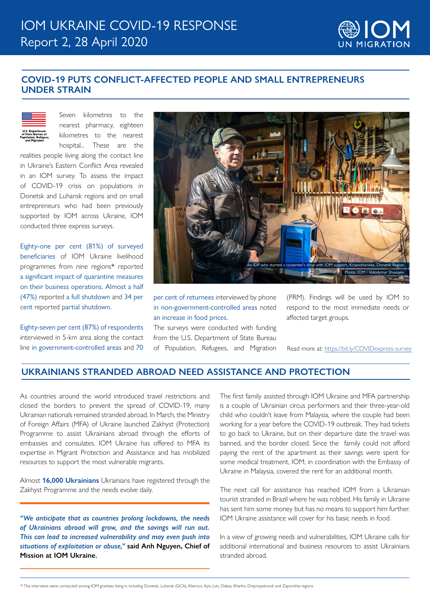

## **COVID-19 PUTS CONFLICT-AFFECTED PEOPLE AND SMALL ENTREPRENEURS UNDER STRAIN**



Seven kilometres to the nearest pharmacy, eighteen kilometres to the nearest hospital... These are the

realities people living along the contact line in Ukraine's Eastern Conflict Area revealed in an IOM survey. To assess the impact of COVID-19 crisis on populations in Donetsk and Luhansk regions and on small entrepreneurs who had been previously supported by IOM across Ukraine, IOM conducted three express surveys.

Eighty-one per cent (81%) of surveyed beneficiaries of IOM Ukraine livelihood programmes from nine regions\* reported a significant impact of quarantine measures on their business operations. Almost a half (47%) reported a full shutdown and 34 per cent reported partial shutdown.

Eighty-seven per cent (87%) of respondents interviewed in 5-km area along the contact line in government-controlled areas and 70



per cent of returnees interviewed by phone in non-government-controlled areas noted an increase in food prices.

The surveys were conducted with funding from the U.S. Department of State Bureau of Population, Refugees, and Migration (PRM). Findings will be used by IOM to respond to the most immediate needs or affected target groups.

Read more at: <https://bit.ly/COVIDexpress-survey>

## **UKRAINIANS STRANDED ABROAD NEED ASSISTANCE AND PROTECTION**

As countries around the world introduced travel restrictions and closed the borders to prevent the spread of COVID-19, many Ukrainian nationals remained stranded abroad. In March, the Ministry of Foreign Affairs (MFA) of Ukraine launched Zakhyst (Protection) Programme to assist Ukrainians abroad through the efforts of embassies and consulates. IOM Ukraine has offered to MFA its expertise in Migrant Protection and Assistance and has mobilized resources to support the most vulnerable migrants.

Almost **16,000 Ukrainians** Ukrainians have registered through the Zakhyst Programme and the needs evolve daily.

*"We anticipate that as countries prolong lockdowns, the needs of Ukrainians abroad will grow, and the savings will run out. This can lead to increased vulnerability and may even push into situations of exploitation or abuse,"* **said Anh Nguyen, Chief of Mission at IOM Ukraine.**

The first family assisted through IOM Ukraine and MFA partnership is a couple of Ukrainian circus performers and their three-year-old child who couldn't leave from Malaysia, where the couple had been working for a year before the COVID-19 outbreak. They had tickets to go back to Ukraine, but on their departure date the travel was banned, and the border closed. Since the family could not afford paying the rent of the apartment as their savings were spent for some medical treatment, IOM, in coordination with the Embassy of Ukraine in Malaysia, covered the rent for an additional month.

The next call for assistance has reached IOM from a Ukrainian tourist stranded in Brazil where he was robbed. His family in Ukraine has sent him some money but has no means to support him further. IOM Ukraine assistance will cover for his basic needs in food.

In a view of growing needs and vulnerabilities, IOM Ukraine calls for additional international and business resources to assist Ukrainians stranded abroad.

\* The interviews were conducted among IOM grantees living in including Donetsk, Luhansk (GCA), Kherson, Kyiv, Lviv, Odesa, Kharkiv, Dnipropetrovsk and Zaporizhia regions